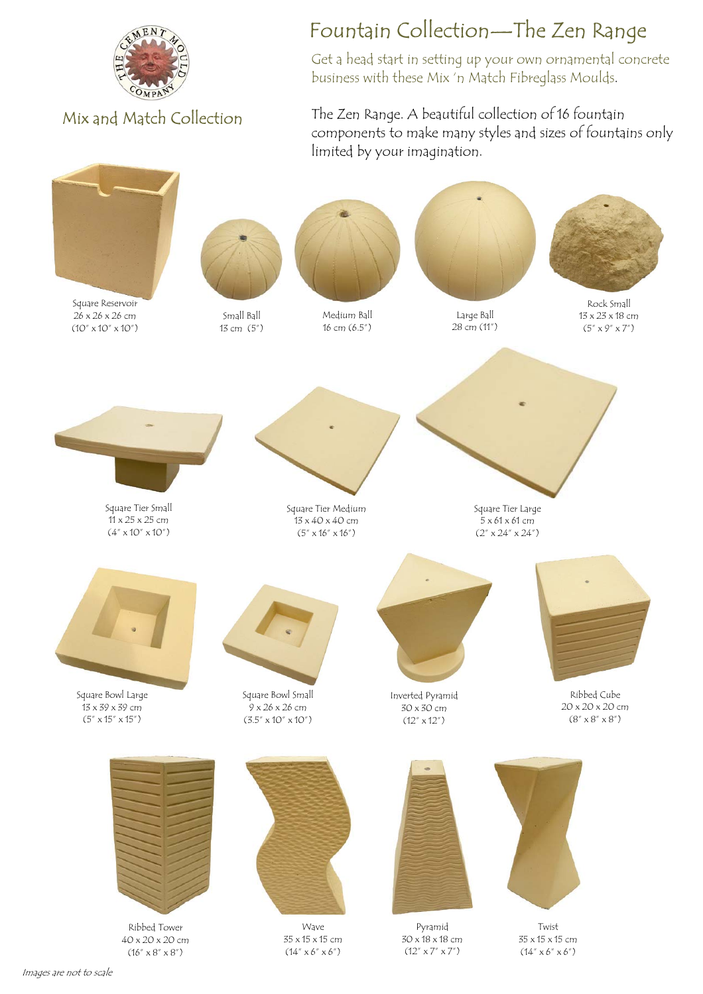

Mix and Match Collection

## Fountain Collection—The Zen Range

Get a head start in setting up your own ornamental concrete business with these Mix 'n Match Fibreglass Moulds.

The Zen Range. A beautiful collection of 16 fountain components to make many styles and sizes of fountains only limited by your imagination.